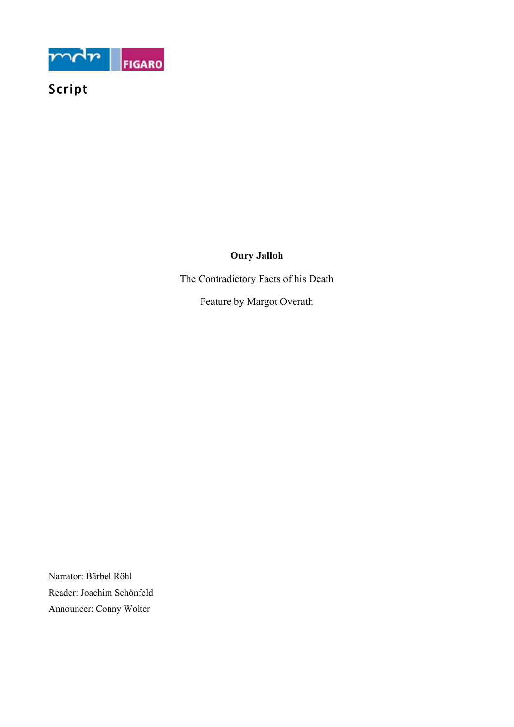

# Script

## **Oury Jalloh**

The Contradictory Facts of his Death

Feature by Margot Overath

Narrator: Bärbel Röhl Reader: Joachim Schönfeld Announcer: Conny Wolter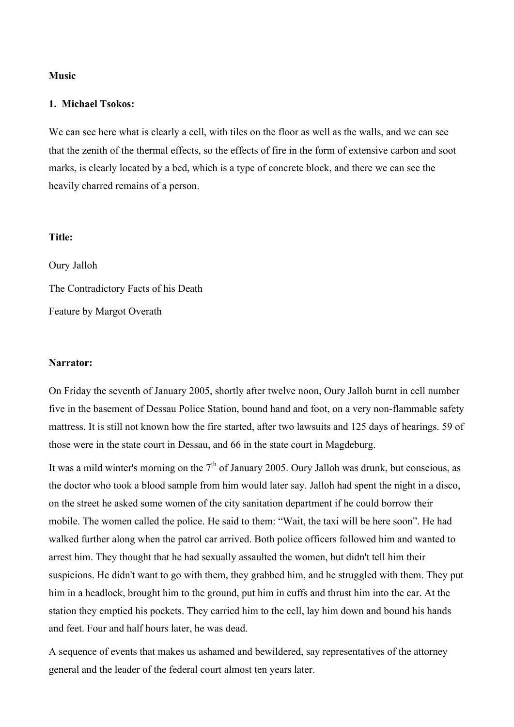#### **Music**

#### **1. Michael Tsokos:**

We can see here what is clearly a cell, with tiles on the floor as well as the walls, and we can see that the zenith of the thermal effects, so the effects of fire in the form of extensive carbon and soot marks, is clearly located by a bed, which is a type of concrete block, and there we can see the heavily charred remains of a person.

### **Title:**

Oury Jalloh The Contradictory Facts of his Death Feature by Margot Overath

#### **Narrator:**

On Friday the seventh of January 2005, shortly after twelve noon, Oury Jalloh burnt in cell number five in the basement of Dessau Police Station, bound hand and foot, on a very non-flammable safety mattress. It is still not known how the fire started, after two lawsuits and 125 days of hearings. 59 of those were in the state court in Dessau, and 66 in the state court in Magdeburg.

It was a mild winter's morning on the  $7<sup>th</sup>$  of January 2005. Oury Jalloh was drunk, but conscious, as the doctor who took a blood sample from him would later say. Jalloh had spent the night in a disco, on the street he asked some women of the city sanitation department if he could borrow their mobile. The women called the police. He said to them: "Wait, the taxi will be here soon". He had walked further along when the patrol car arrived. Both police officers followed him and wanted to arrest him. They thought that he had sexually assaulted the women, but didn't tell him their suspicions. He didn't want to go with them, they grabbed him, and he struggled with them. They put him in a headlock, brought him to the ground, put him in cuffs and thrust him into the car. At the station they emptied his pockets. They carried him to the cell, lay him down and bound his hands and feet. Four and half hours later, he was dead.

A sequence of events that makes us ashamed and bewildered, say representatives of the attorney general and the leader of the federal court almost ten years later.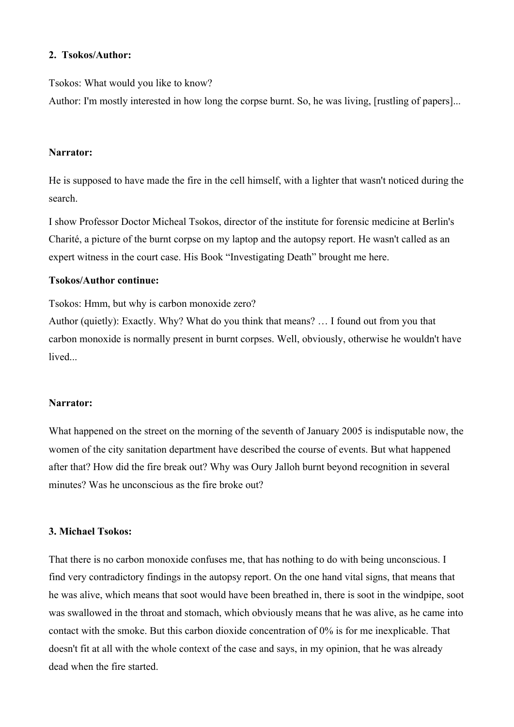### **2. Tsokos/Author:**

Tsokos: What would you like to know?

Author: I'm mostly interested in how long the corpse burnt. So, he was living, [rustling of papers]...

#### **Narrator:**

He is supposed to have made the fire in the cell himself, with a lighter that wasn't noticed during the search.

I show Professor Doctor Micheal Tsokos, director of the institute for forensic medicine at Berlin's Charité, a picture of the burnt corpse on my laptop and the autopsy report. He wasn't called as an expert witness in the court case. His Book "Investigating Death" brought me here.

### **Tsokos/Author continue:**

Tsokos: Hmm, but why is carbon monoxide zero?

Author (quietly): Exactly. Why? What do you think that means? … I found out from you that carbon monoxide is normally present in burnt corpses. Well, obviously, otherwise he wouldn't have lived.

### **Narrator:**

What happened on the street on the morning of the seventh of January 2005 is indisputable now, the women of the city sanitation department have described the course of events. But what happened after that? How did the fire break out? Why was Oury Jalloh burnt beyond recognition in several minutes? Was he unconscious as the fire broke out?

#### **3. Michael Tsokos:**

That there is no carbon monoxide confuses me, that has nothing to do with being unconscious. I find very contradictory findings in the autopsy report. On the one hand vital signs, that means that he was alive, which means that soot would have been breathed in, there is soot in the windpipe, soot was swallowed in the throat and stomach, which obviously means that he was alive, as he came into contact with the smoke. But this carbon dioxide concentration of 0% is for me inexplicable. That doesn't fit at all with the whole context of the case and says, in my opinion, that he was already dead when the fire started.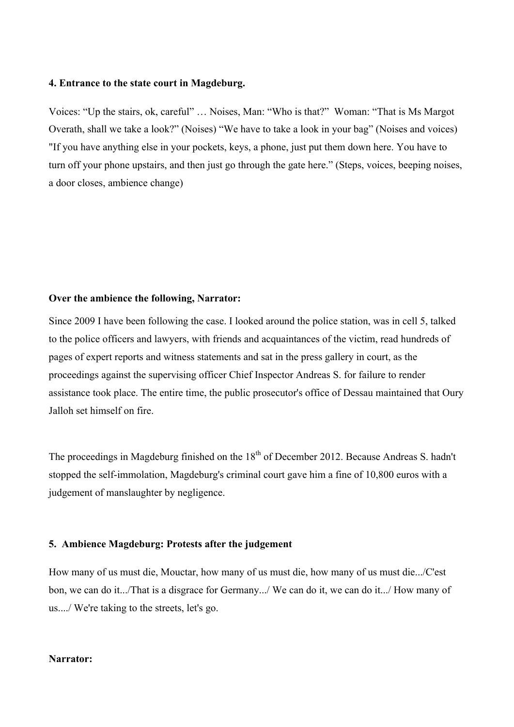### **4. Entrance to the state court in Magdeburg.**

Voices: "Up the stairs, ok, careful" … Noises, Man: "Who is that?" Woman: "That is Ms Margot Overath, shall we take a look?" (Noises) "We have to take a look in your bag" (Noises and voices) "If you have anything else in your pockets, keys, a phone, just put them down here. You have to turn off your phone upstairs, and then just go through the gate here." (Steps, voices, beeping noises, a door closes, ambience change)

#### **Over the ambience the following, Narrator:**

Since 2009 I have been following the case. I looked around the police station, was in cell 5, talked to the police officers and lawyers, with friends and acquaintances of the victim, read hundreds of pages of expert reports and witness statements and sat in the press gallery in court, as the proceedings against the supervising officer Chief Inspector Andreas S. for failure to render assistance took place. The entire time, the public prosecutor's office of Dessau maintained that Oury Jalloh set himself on fire.

The proceedings in Magdeburg finished on the 18<sup>th</sup> of December 2012. Because Andreas S. hadn't stopped the self-immolation, Magdeburg's criminal court gave him a fine of 10,800 euros with a judgement of manslaughter by negligence.

### **5. Ambience Magdeburg: Protests after the judgement**

How many of us must die, Mouctar, how many of us must die, how many of us must die.../C'est bon, we can do it.../That is a disgrace for Germany.../ We can do it, we can do it.../ How many of us..../ We're taking to the streets, let's go.

#### **Narrator:**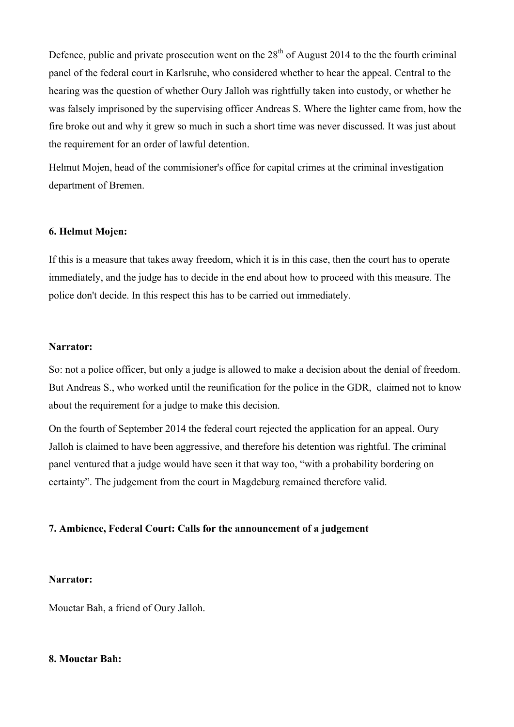Defence, public and private prosecution went on the  $28<sup>th</sup>$  of August 2014 to the the fourth criminal panel of the federal court in Karlsruhe, who considered whether to hear the appeal. Central to the hearing was the question of whether Oury Jalloh was rightfully taken into custody, or whether he was falsely imprisoned by the supervising officer Andreas S. Where the lighter came from, how the fire broke out and why it grew so much in such a short time was never discussed. It was just about the requirement for an order of lawful detention.

Helmut Mojen, head of the commisioner's office for capital crimes at the criminal investigation department of Bremen.

### **6. Helmut Mojen:**

If this is a measure that takes away freedom, which it is in this case, then the court has to operate immediately, and the judge has to decide in the end about how to proceed with this measure. The police don't decide. In this respect this has to be carried out immediately.

#### **Narrator:**

So: not a police officer, but only a judge is allowed to make a decision about the denial of freedom. But Andreas S., who worked until the reunification for the police in the GDR, claimed not to know about the requirement for a judge to make this decision.

On the fourth of September 2014 the federal court rejected the application for an appeal. Oury Jalloh is claimed to have been aggressive, and therefore his detention was rightful. The criminal panel ventured that a judge would have seen it that way too, "with a probability bordering on certainty". The judgement from the court in Magdeburg remained therefore valid.

#### **7. Ambience, Federal Court: Calls for the announcement of a judgement**

#### **Narrator:**

Mouctar Bah, a friend of Oury Jalloh.

### **8. Mouctar Bah:**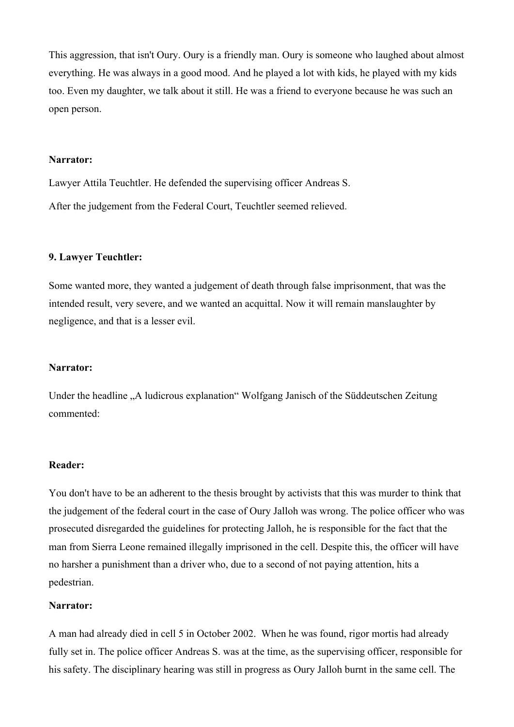This aggression, that isn't Oury. Oury is a friendly man. Oury is someone who laughed about almost everything. He was always in a good mood. And he played a lot with kids, he played with my kids too. Even my daughter, we talk about it still. He was a friend to everyone because he was such an open person.

#### **Narrator:**

Lawyer Attila Teuchtler. He defended the supervising officer Andreas S. After the judgement from the Federal Court, Teuchtler seemed relieved.

#### **9. Lawyer Teuchtler:**

Some wanted more, they wanted a judgement of death through false imprisonment, that was the intended result, very severe, and we wanted an acquittal. Now it will remain manslaughter by negligence, and that is a lesser evil.

#### **Narrator:**

Under the headline "A ludicrous explanation" Wolfgang Janisch of the Süddeutschen Zeitung commented:

#### **Reader:**

You don't have to be an adherent to the thesis brought by activists that this was murder to think that the judgement of the federal court in the case of Oury Jalloh was wrong. The police officer who was prosecuted disregarded the guidelines for protecting Jalloh, he is responsible for the fact that the man from Sierra Leone remained illegally imprisoned in the cell. Despite this, the officer will have no harsher a punishment than a driver who, due to a second of not paying attention, hits a pedestrian.

### **Narrator:**

A man had already died in cell 5 in October 2002. When he was found, rigor mortis had already fully set in. The police officer Andreas S. was at the time, as the supervising officer, responsible for his safety. The disciplinary hearing was still in progress as Oury Jalloh burnt in the same cell. The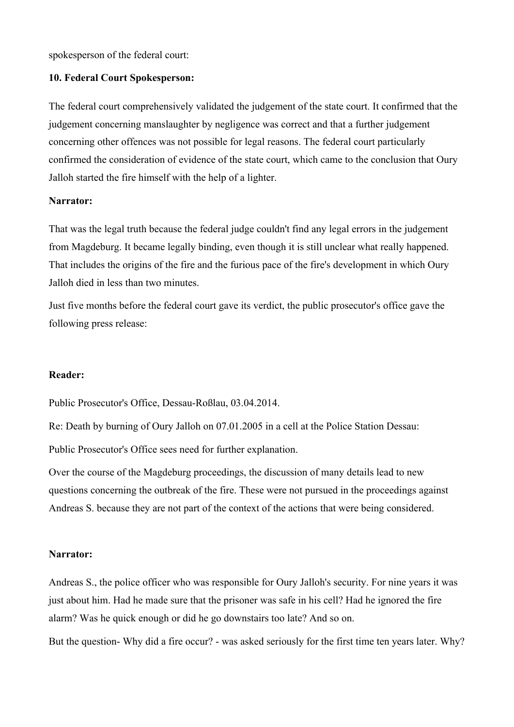spokesperson of the federal court:

### **10. Federal Court Spokesperson:**

The federal court comprehensively validated the judgement of the state court. It confirmed that the judgement concerning manslaughter by negligence was correct and that a further judgement concerning other offences was not possible for legal reasons. The federal court particularly confirmed the consideration of evidence of the state court, which came to the conclusion that Oury Jalloh started the fire himself with the help of a lighter.

#### **Narrator:**

That was the legal truth because the federal judge couldn't find any legal errors in the judgement from Magdeburg. It became legally binding, even though it is still unclear what really happened. That includes the origins of the fire and the furious pace of the fire's development in which Oury Jalloh died in less than two minutes.

Just five months before the federal court gave its verdict, the public prosecutor's office gave the following press release:

#### **Reader:**

Public Prosecutor's Office, Dessau-Roßlau, 03.04.2014.

Re: Death by burning of Oury Jalloh on 07.01.2005 in a cell at the Police Station Dessau:

Public Prosecutor's Office sees need for further explanation.

Over the course of the Magdeburg proceedings, the discussion of many details lead to new questions concerning the outbreak of the fire. These were not pursued in the proceedings against Andreas S. because they are not part of the context of the actions that were being considered.

#### **Narrator:**

Andreas S., the police officer who was responsible for Oury Jalloh's security. For nine years it was just about him. Had he made sure that the prisoner was safe in his cell? Had he ignored the fire alarm? Was he quick enough or did he go downstairs too late? And so on.

But the question- Why did a fire occur? - was asked seriously for the first time ten years later. Why?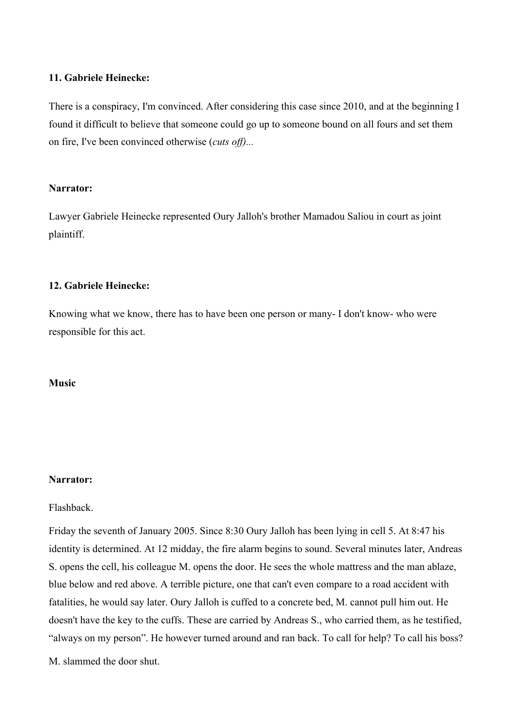### **11. Gabriele Heinecke:**

There is a conspiracy, I'm convinced. After considering this case since 2010, and at the beginning I found it difficult to believe that someone could go up to someone bound on all fours and set them on fire, I've been convinced otherwise (*cuts off)...*

### **Narrator:**

Lawyer Gabriele Heinecke represented Oury Jalloh's brother Mamadou Saliou in court as joint plaintiff.

### **12. Gabriele Heinecke:**

Knowing what we know, there has to have been one person or many- I don't know- who were responsible for this act.

### **Music**

### **Narrator:**

### Flashback.

Friday the seventh of January 2005. Since 8:30 Oury Jalloh has been lying in cell 5. At 8:47 his identity is determined. At 12 midday, the fire alarm begins to sound. Several minutes later, Andreas S. opens the cell, his colleague M. opens the door. He sees the whole mattress and the man ablaze, blue below and red above. A terrible picture, one that can't even compare to a road accident with fatalities, he would say later. Oury Jalloh is cuffed to a concrete bed, M. cannot pull him out. He doesn't have the key to the cuffs. These are carried by Andreas S., who carried them, as he testified, "always on my person". He however turned around and ran back. To call for help? To call his boss?

M. slammed the door shut.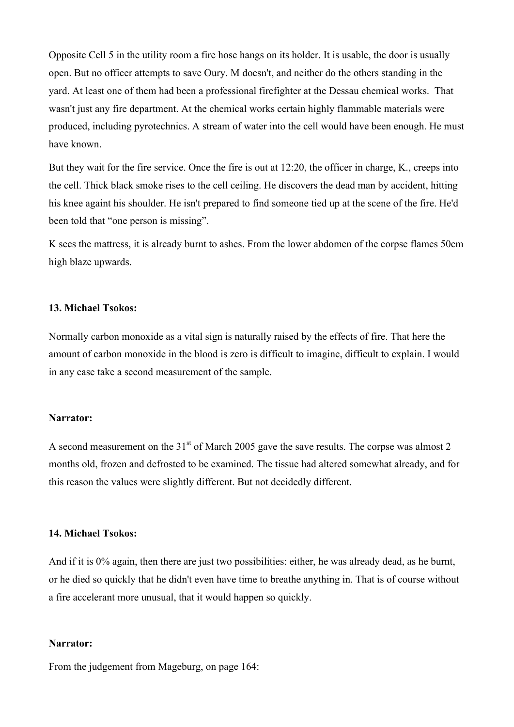Opposite Cell 5 in the utility room a fire hose hangs on its holder. It is usable, the door is usually open. But no officer attempts to save Oury. M doesn't, and neither do the others standing in the yard. At least one of them had been a professional firefighter at the Dessau chemical works. That wasn't just any fire department. At the chemical works certain highly flammable materials were produced, including pyrotechnics. A stream of water into the cell would have been enough. He must have known.

But they wait for the fire service. Once the fire is out at 12:20, the officer in charge, K., creeps into the cell. Thick black smoke rises to the cell ceiling. He discovers the dead man by accident, hitting his knee againt his shoulder. He isn't prepared to find someone tied up at the scene of the fire. He'd been told that "one person is missing".

K sees the mattress, it is already burnt to ashes. From the lower abdomen of the corpse flames 50cm high blaze upwards.

### **13. Michael Tsokos:**

Normally carbon monoxide as a vital sign is naturally raised by the effects of fire. That here the amount of carbon monoxide in the blood is zero is difficult to imagine, difficult to explain. I would in any case take a second measurement of the sample.

#### **Narrator:**

A second measurement on the  $31<sup>st</sup>$  of March 2005 gave the save results. The corpse was almost 2 months old, frozen and defrosted to be examined. The tissue had altered somewhat already, and for this reason the values were slightly different. But not decidedly different.

### **14. Michael Tsokos:**

And if it is 0% again, then there are just two possibilities: either, he was already dead, as he burnt, or he died so quickly that he didn't even have time to breathe anything in. That is of course without a fire accelerant more unusual, that it would happen so quickly.

#### **Narrator:**

From the judgement from Mageburg, on page 164: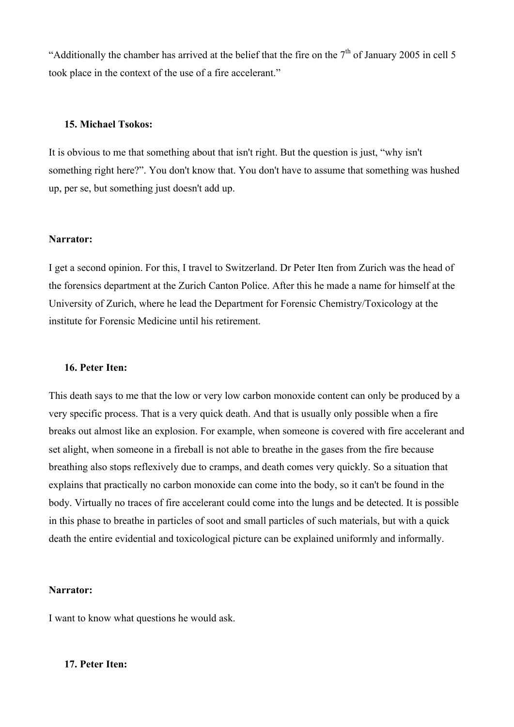"Additionally the chamber has arrived at the belief that the fire on the  $7<sup>th</sup>$  of January 2005 in cell 5 took place in the context of the use of a fire accelerant."

### **15. Michael Tsokos:**

It is obvious to me that something about that isn't right. But the question is just, "why isn't something right here?". You don't know that. You don't have to assume that something was hushed up, per se, but something just doesn't add up.

#### **Narrator:**

I get a second opinion. For this, I travel to Switzerland. Dr Peter Iten from Zurich was the head of the forensics department at the Zurich Canton Police. After this he made a name for himself at the University of Zurich, where he lead the Department for Forensic Chemistry/Toxicology at the institute for Forensic Medicine until his retirement.

#### **16. Peter Iten:**

This death says to me that the low or very low carbon monoxide content can only be produced by a very specific process. That is a very quick death. And that is usually only possible when a fire breaks out almost like an explosion. For example, when someone is covered with fire accelerant and set alight, when someone in a fireball is not able to breathe in the gases from the fire because breathing also stops reflexively due to cramps, and death comes very quickly. So a situation that explains that practically no carbon monoxide can come into the body, so it can't be found in the body. Virtually no traces of fire accelerant could come into the lungs and be detected. It is possible in this phase to breathe in particles of soot and small particles of such materials, but with a quick death the entire evidential and toxicological picture can be explained uniformly and informally.

#### **Narrator:**

I want to know what questions he would ask.

#### **17. Peter Iten:**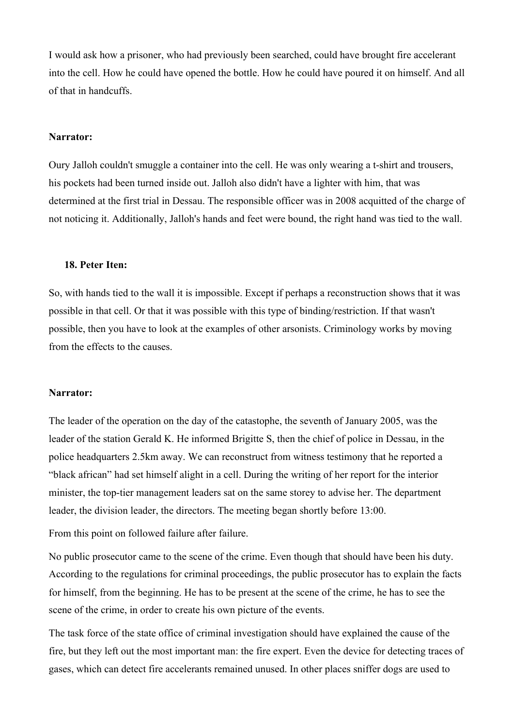I would ask how a prisoner, who had previously been searched, could have brought fire accelerant into the cell. How he could have opened the bottle. How he could have poured it on himself. And all of that in handcuffs.

#### **Narrator:**

Oury Jalloh couldn't smuggle a container into the cell. He was only wearing a t-shirt and trousers, his pockets had been turned inside out. Jalloh also didn't have a lighter with him, that was determined at the first trial in Dessau. The responsible officer was in 2008 acquitted of the charge of not noticing it. Additionally, Jalloh's hands and feet were bound, the right hand was tied to the wall.

#### **18. Peter Iten:**

So, with hands tied to the wall it is impossible. Except if perhaps a reconstruction shows that it was possible in that cell. Or that it was possible with this type of binding/restriction. If that wasn't possible, then you have to look at the examples of other arsonists. Criminology works by moving from the effects to the causes.

### **Narrator:**

The leader of the operation on the day of the catastophe, the seventh of January 2005, was the leader of the station Gerald K. He informed Brigitte S, then the chief of police in Dessau, in the police headquarters 2.5km away. We can reconstruct from witness testimony that he reported a "black african" had set himself alight in a cell. During the writing of her report for the interior minister, the top-tier management leaders sat on the same storey to advise her. The department leader, the division leader, the directors. The meeting began shortly before 13:00.

From this point on followed failure after failure.

No public prosecutor came to the scene of the crime. Even though that should have been his duty. According to the regulations for criminal proceedings, the public prosecutor has to explain the facts for himself, from the beginning. He has to be present at the scene of the crime, he has to see the scene of the crime, in order to create his own picture of the events.

The task force of the state office of criminal investigation should have explained the cause of the fire, but they left out the most important man: the fire expert. Even the device for detecting traces of gases, which can detect fire accelerants remained unused. In other places sniffer dogs are used to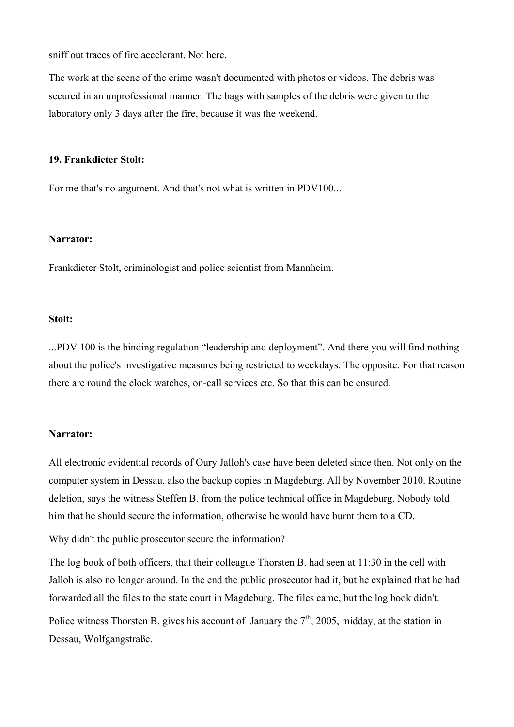sniff out traces of fire accelerant. Not here.

The work at the scene of the crime wasn't documented with photos or videos. The debris was secured in an unprofessional manner. The bags with samples of the debris were given to the laboratory only 3 days after the fire, because it was the weekend.

#### **19. Frankdieter Stolt:**

For me that's no argument. And that's not what is written in PDV100...

### **Narrator:**

Frankdieter Stolt, criminologist and police scientist from Mannheim.

### **Stolt:**

...PDV 100 is the binding regulation "leadership and deployment". And there you will find nothing about the police's investigative measures being restricted to weekdays. The opposite. For that reason there are round the clock watches, on-call services etc. So that this can be ensured.

#### **Narrator:**

All electronic evidential records of Oury Jalloh's case have been deleted since then. Not only on the computer system in Dessau, also the backup copies in Magdeburg. All by November 2010. Routine deletion, says the witness Steffen B. from the police technical office in Magdeburg. Nobody told him that he should secure the information, otherwise he would have burnt them to a CD.

Why didn't the public prosecutor secure the information?

The log book of both officers, that their colleague Thorsten B. had seen at 11:30 in the cell with Jalloh is also no longer around. In the end the public prosecutor had it, but he explained that he had forwarded all the files to the state court in Magdeburg. The files came, but the log book didn't. Police witness Thorsten B, gives his account of January the  $7<sup>th</sup>$ , 2005, midday, at the station in Dessau, Wolfgangstraße.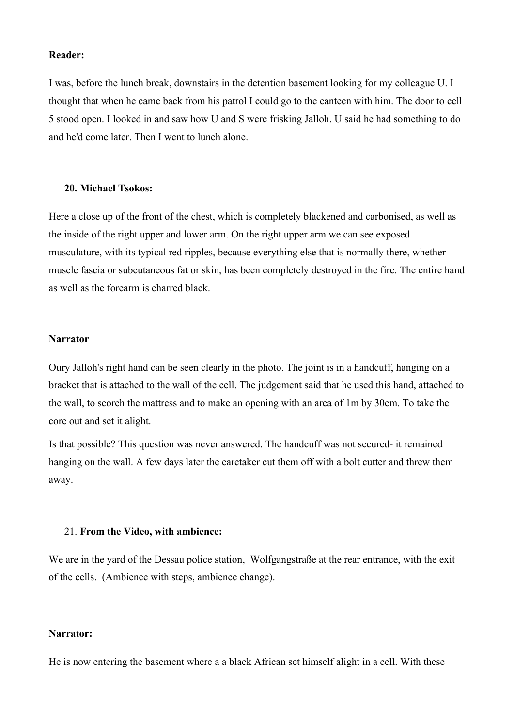#### **Reader:**

I was, before the lunch break, downstairs in the detention basement looking for my colleague U. I thought that when he came back from his patrol I could go to the canteen with him. The door to cell 5 stood open. I looked in and saw how U and S were frisking Jalloh. U said he had something to do and he'd come later. Then I went to lunch alone.

#### **20. Michael Tsokos:**

Here a close up of the front of the chest, which is completely blackened and carbonised, as well as the inside of the right upper and lower arm. On the right upper arm we can see exposed musculature, with its typical red ripples, because everything else that is normally there, whether muscle fascia or subcutaneous fat or skin, has been completely destroyed in the fire. The entire hand as well as the forearm is charred black.

#### **Narrator**

Oury Jalloh's right hand can be seen clearly in the photo. The joint is in a handcuff, hanging on a bracket that is attached to the wall of the cell. The judgement said that he used this hand, attached to the wall, to scorch the mattress and to make an opening with an area of 1m by 30cm. To take the core out and set it alight.

Is that possible? This question was never answered. The handcuff was not secured- it remained hanging on the wall. A few days later the caretaker cut them off with a bolt cutter and threw them away.

#### 21. **From the Video, with ambience:**

We are in the yard of the Dessau police station, Wolfgangstraße at the rear entrance, with the exit of the cells. (Ambience with steps, ambience change).

#### **Narrator:**

He is now entering the basement where a a black African set himself alight in a cell. With these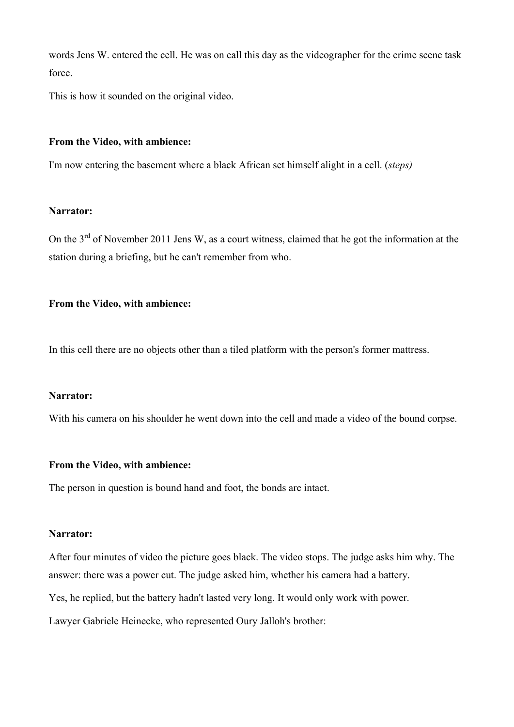words Jens W. entered the cell. He was on call this day as the videographer for the crime scene task force.

This is how it sounded on the original video.

### **From the Video, with ambience:**

I'm now entering the basement where a black African set himself alight in a cell. (*steps)*

### **Narrator:**

On the 3<sup>rd</sup> of November 2011 Jens W, as a court witness, claimed that he got the information at the station during a briefing, but he can't remember from who.

### **From the Video, with ambience:**

In this cell there are no objects other than a tiled platform with the person's former mattress.

### **Narrator:**

With his camera on his shoulder he went down into the cell and made a video of the bound corpse.

### **From the Video, with ambience:**

The person in question is bound hand and foot, the bonds are intact.

### **Narrator:**

After four minutes of video the picture goes black. The video stops. The judge asks him why. The answer: there was a power cut. The judge asked him, whether his camera had a battery.

Yes, he replied, but the battery hadn't lasted very long. It would only work with power.

Lawyer Gabriele Heinecke, who represented Oury Jalloh's brother: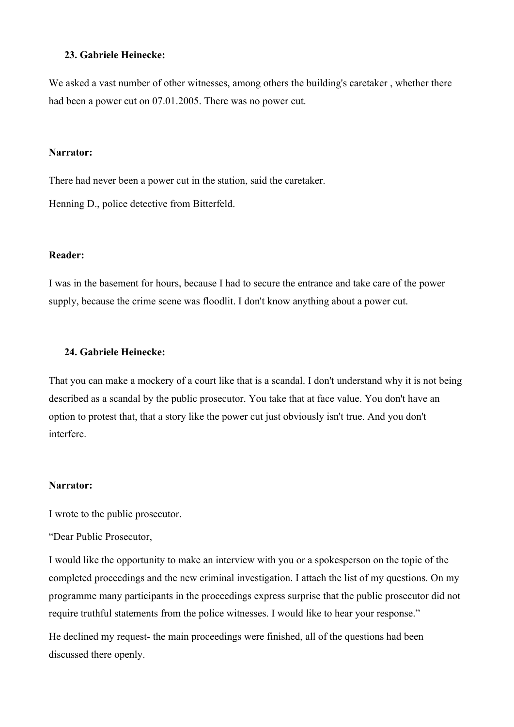### **23. Gabriele Heinecke:**

We asked a vast number of other witnesses, among others the building's caretaker , whether there had been a power cut on 07.01.2005. There was no power cut.

#### **Narrator:**

There had never been a power cut in the station, said the caretaker.

Henning D., police detective from Bitterfeld.

### **Reader:**

I was in the basement for hours, because I had to secure the entrance and take care of the power supply, because the crime scene was floodlit. I don't know anything about a power cut.

### **24. Gabriele Heinecke:**

That you can make a mockery of a court like that is a scandal. I don't understand why it is not being described as a scandal by the public prosecutor. You take that at face value. You don't have an option to protest that, that a story like the power cut just obviously isn't true. And you don't interfere.

#### **Narrator:**

I wrote to the public prosecutor.

"Dear Public Prosecutor,

I would like the opportunity to make an interview with you or a spokesperson on the topic of the completed proceedings and the new criminal investigation. I attach the list of my questions. On my programme many participants in the proceedings express surprise that the public prosecutor did not require truthful statements from the police witnesses. I would like to hear your response."

He declined my request- the main proceedings were finished, all of the questions had been discussed there openly.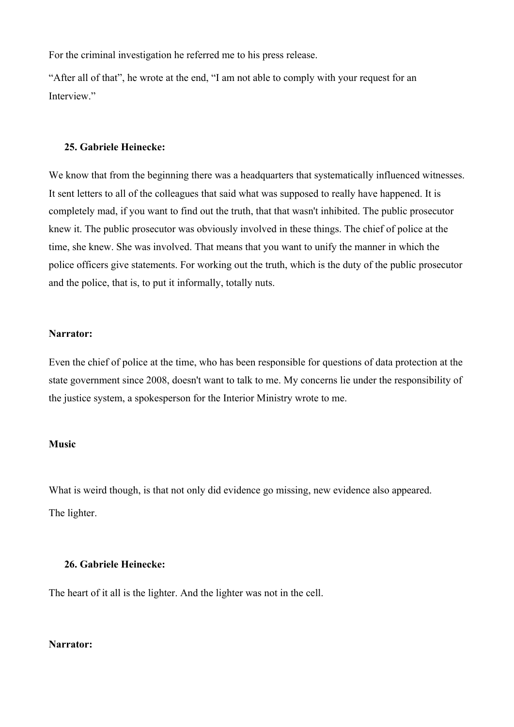For the criminal investigation he referred me to his press release.

"After all of that", he wrote at the end, "I am not able to comply with your request for an Interview."

### **25. Gabriele Heinecke:**

We know that from the beginning there was a headquarters that systematically influenced witnesses. It sent letters to all of the colleagues that said what was supposed to really have happened. It is completely mad, if you want to find out the truth, that that wasn't inhibited. The public prosecutor knew it. The public prosecutor was obviously involved in these things. The chief of police at the time, she knew. She was involved. That means that you want to unify the manner in which the police officers give statements. For working out the truth, which is the duty of the public prosecutor and the police, that is, to put it informally, totally nuts.

#### **Narrator:**

Even the chief of police at the time, who has been responsible for questions of data protection at the state government since 2008, doesn't want to talk to me. My concerns lie under the responsibility of the justice system, a spokesperson for the Interior Ministry wrote to me.

#### **Music**

What is weird though, is that not only did evidence go missing, new evidence also appeared. The lighter.

### **26. Gabriele Heinecke:**

The heart of it all is the lighter. And the lighter was not in the cell.

### **Narrator:**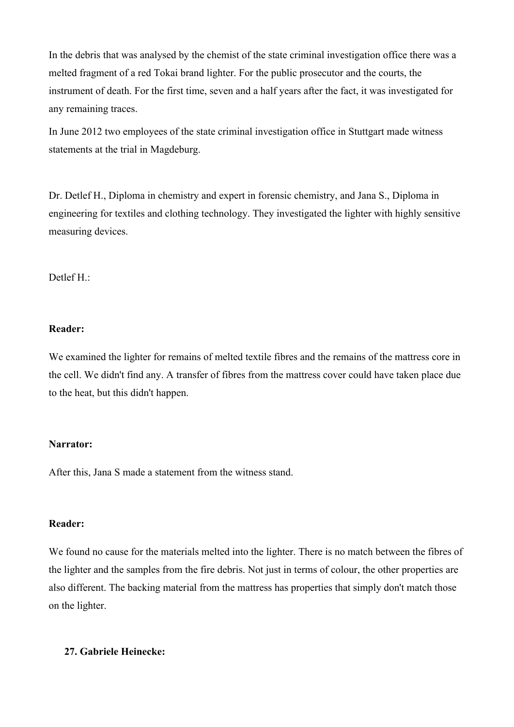In the debris that was analysed by the chemist of the state criminal investigation office there was a melted fragment of a red Tokai brand lighter. For the public prosecutor and the courts, the instrument of death. For the first time, seven and a half years after the fact, it was investigated for any remaining traces.

In June 2012 two employees of the state criminal investigation office in Stuttgart made witness statements at the trial in Magdeburg.

Dr. Detlef H., Diploma in chemistry and expert in forensic chemistry, and Jana S., Diploma in engineering for textiles and clothing technology. They investigated the lighter with highly sensitive measuring devices.

Detlef H.:

### **Reader:**

We examined the lighter for remains of melted textile fibres and the remains of the mattress core in the cell. We didn't find any. A transfer of fibres from the mattress cover could have taken place due to the heat, but this didn't happen.

### **Narrator:**

After this, Jana S made a statement from the witness stand.

### **Reader:**

We found no cause for the materials melted into the lighter. There is no match between the fibres of the lighter and the samples from the fire debris. Not just in terms of colour, the other properties are also different. The backing material from the mattress has properties that simply don't match those on the lighter.

### **27. Gabriele Heinecke:**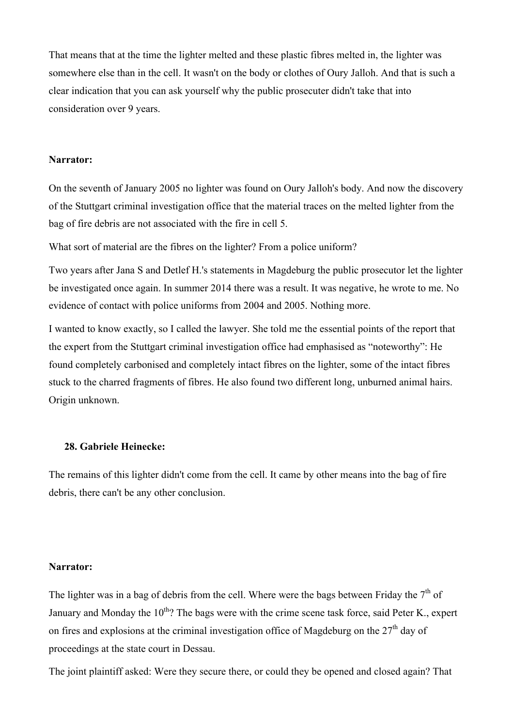That means that at the time the lighter melted and these plastic fibres melted in, the lighter was somewhere else than in the cell. It wasn't on the body or clothes of Oury Jalloh. And that is such a clear indication that you can ask yourself why the public prosecuter didn't take that into consideration over 9 years.

#### **Narrator:**

On the seventh of January 2005 no lighter was found on Oury Jalloh's body. And now the discovery of the Stuttgart criminal investigation office that the material traces on the melted lighter from the bag of fire debris are not associated with the fire in cell 5.

What sort of material are the fibres on the lighter? From a police uniform?

Two years after Jana S and Detlef H.'s statements in Magdeburg the public prosecutor let the lighter be investigated once again. In summer 2014 there was a result. It was negative, he wrote to me. No evidence of contact with police uniforms from 2004 and 2005. Nothing more.

I wanted to know exactly, so I called the lawyer. She told me the essential points of the report that the expert from the Stuttgart criminal investigation office had emphasised as "noteworthy": He found completely carbonised and completely intact fibres on the lighter, some of the intact fibres stuck to the charred fragments of fibres. He also found two different long, unburned animal hairs. Origin unknown.

#### **28. Gabriele Heinecke:**

The remains of this lighter didn't come from the cell. It came by other means into the bag of fire debris, there can't be any other conclusion.

#### **Narrator:**

The lighter was in a bag of debris from the cell. Where were the bags between Friday the  $7<sup>th</sup>$  of January and Monday the  $10^{th}$ ? The bags were with the crime scene task force, said Peter K., expert on fires and explosions at the criminal investigation office of Magdeburg on the  $27<sup>th</sup>$  day of proceedings at the state court in Dessau.

The joint plaintiff asked: Were they secure there, or could they be opened and closed again? That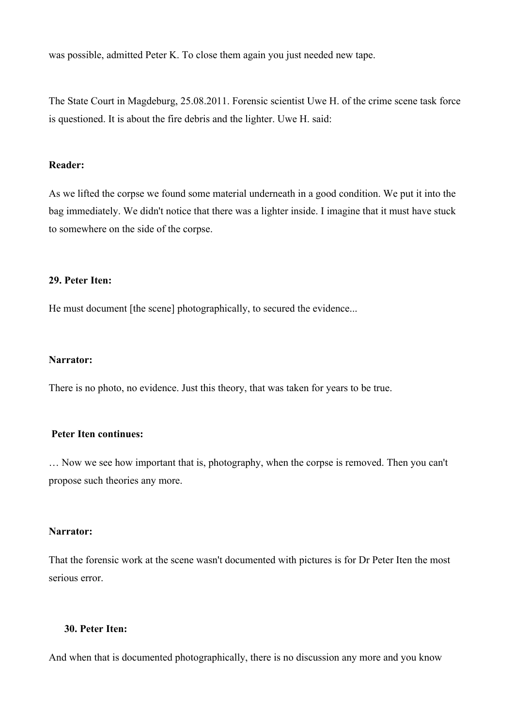was possible, admitted Peter K. To close them again you just needed new tape.

The State Court in Magdeburg, 25.08.2011. Forensic scientist Uwe H. of the crime scene task force is questioned. It is about the fire debris and the lighter. Uwe H. said:

### **Reader:**

As we lifted the corpse we found some material underneath in a good condition. We put it into the bag immediately. We didn't notice that there was a lighter inside. I imagine that it must have stuck to somewhere on the side of the corpse.

### **29. Peter Iten:**

He must document [the scene] photographically, to secured the evidence...

### **Narrator:**

There is no photo, no evidence. Just this theory, that was taken for years to be true.

### **Peter Iten continues:**

… Now we see how important that is, photography, when the corpse is removed. Then you can't propose such theories any more.

#### **Narrator:**

That the forensic work at the scene wasn't documented with pictures is for Dr Peter Iten the most serious error.

#### **30. Peter Iten:**

And when that is documented photographically, there is no discussion any more and you know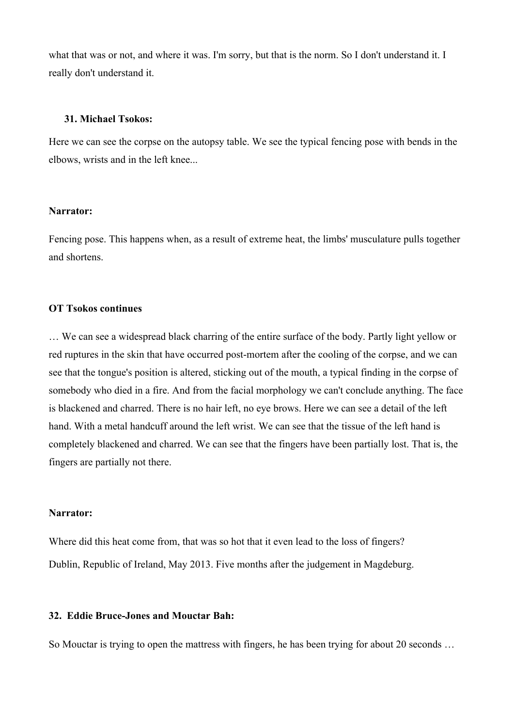what that was or not, and where it was. I'm sorry, but that is the norm. So I don't understand it. I really don't understand it.

#### **31. Michael Tsokos:**

Here we can see the corpse on the autopsy table. We see the typical fencing pose with bends in the elbows, wrists and in the left knee...

#### **Narrator:**

Fencing pose. This happens when, as a result of extreme heat, the limbs' musculature pulls together and shortens.

### **OT Tsokos continues**

… We can see a widespread black charring of the entire surface of the body. Partly light yellow or red ruptures in the skin that have occurred post-mortem after the cooling of the corpse, and we can see that the tongue's position is altered, sticking out of the mouth, a typical finding in the corpse of somebody who died in a fire. And from the facial morphology we can't conclude anything. The face is blackened and charred. There is no hair left, no eye brows. Here we can see a detail of the left hand. With a metal handcuff around the left wrist. We can see that the tissue of the left hand is completely blackened and charred. We can see that the fingers have been partially lost. That is, the fingers are partially not there.

#### **Narrator:**

Where did this heat come from, that was so hot that it even lead to the loss of fingers? Dublin, Republic of Ireland, May 2013. Five months after the judgement in Magdeburg.

### **32. Eddie Bruce-Jones and Mouctar Bah:**

So Mouctar is trying to open the mattress with fingers, he has been trying for about 20 seconds …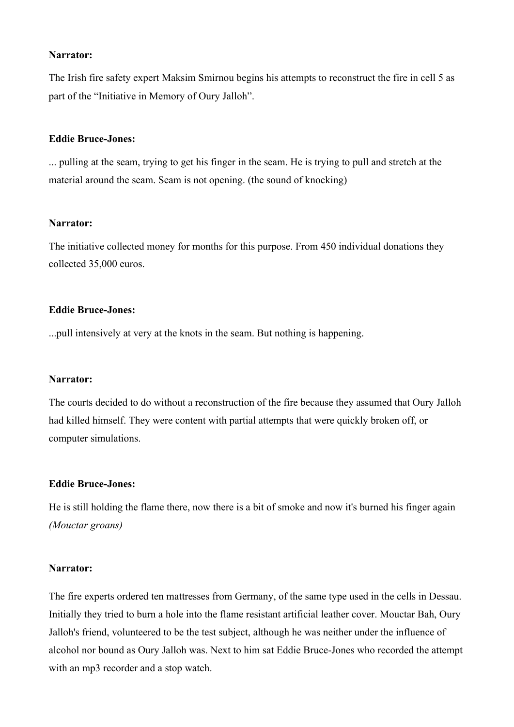### **Narrator:**

The Irish fire safety expert Maksim Smirnou begins his attempts to reconstruct the fire in cell 5 as part of the "Initiative in Memory of Oury Jalloh".

### **Eddie Bruce-Jones:**

... pulling at the seam, trying to get his finger in the seam. He is trying to pull and stretch at the material around the seam. Seam is not opening. (the sound of knocking)

### **Narrator:**

The initiative collected money for months for this purpose. From 450 individual donations they collected 35,000 euros.

### **Eddie Bruce-Jones:**

...pull intensively at very at the knots in the seam. But nothing is happening.

#### **Narrator:**

The courts decided to do without a reconstruction of the fire because they assumed that Oury Jalloh had killed himself. They were content with partial attempts that were quickly broken off, or computer simulations.

### **Eddie Bruce-Jones:**

He is still holding the flame there, now there is a bit of smoke and now it's burned his finger again *(Mouctar groans)*

#### **Narrator:**

The fire experts ordered ten mattresses from Germany, of the same type used in the cells in Dessau. Initially they tried to burn a hole into the flame resistant artificial leather cover. Mouctar Bah, Oury Jalloh's friend, volunteered to be the test subject, although he was neither under the influence of alcohol nor bound as Oury Jalloh was. Next to him sat Eddie Bruce-Jones who recorded the attempt with an mp3 recorder and a stop watch.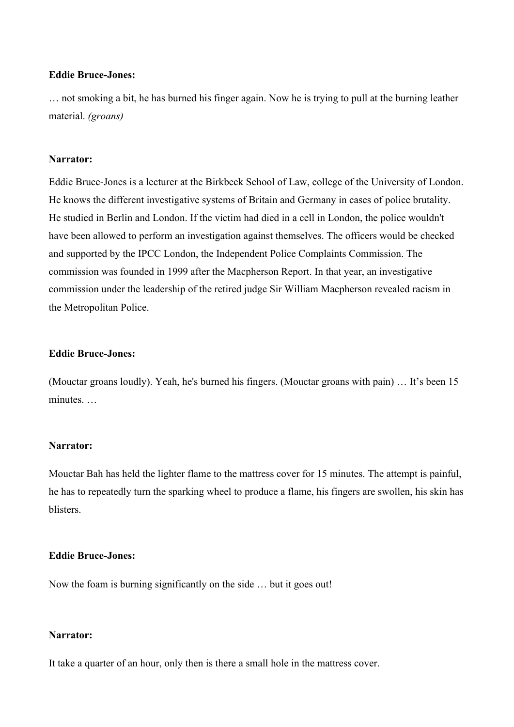### **Eddie Bruce-Jones:**

… not smoking a bit, he has burned his finger again. Now he is trying to pull at the burning leather material. *(groans)*

### **Narrator:**

Eddie Bruce-Jones is a lecturer at the Birkbeck School of Law, college of the University of London. He knows the different investigative systems of Britain and Germany in cases of police brutality. He studied in Berlin and London. If the victim had died in a cell in London, the police wouldn't have been allowed to perform an investigation against themselves. The officers would be checked and supported by the IPCC London, the Independent Police Complaints Commission. The commission was founded in 1999 after the Macpherson Report. In that year, an investigative commission under the leadership of the retired judge Sir William Macpherson revealed racism in the Metropolitan Police.

#### **Eddie Bruce-Jones:**

(Mouctar groans loudly). Yeah, he's burned his fingers. (Mouctar groans with pain) … It's been 15 minutes. …

#### **Narrator:**

Mouctar Bah has held the lighter flame to the mattress cover for 15 minutes. The attempt is painful, he has to repeatedly turn the sparking wheel to produce a flame, his fingers are swollen, his skin has blisters.

### **Eddie Bruce-Jones:**

Now the foam is burning significantly on the side … but it goes out!

#### **Narrator:**

It take a quarter of an hour, only then is there a small hole in the mattress cover.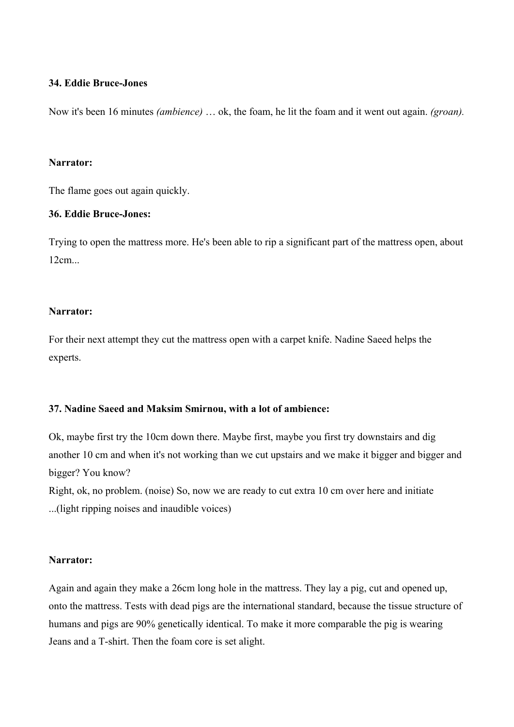### **34. Eddie Bruce-Jones**

Now it's been 16 minutes *(ambience)* … ok, the foam, he lit the foam and it went out again. *(groan).*

### **Narrator:**

The flame goes out again quickly.

### **36. Eddie Bruce-Jones:**

Trying to open the mattress more. He's been able to rip a significant part of the mattress open, about 12cm...

### **Narrator:**

For their next attempt they cut the mattress open with a carpet knife. Nadine Saeed helps the experts.

### **37. Nadine Saeed and Maksim Smirnou, with a lot of ambience:**

Ok, maybe first try the 10cm down there. Maybe first, maybe you first try downstairs and dig another 10 cm and when it's not working than we cut upstairs and we make it bigger and bigger and bigger? You know? Right, ok, no problem. (noise) So, now we are ready to cut extra 10 cm over here and initiate

...(light ripping noises and inaudible voices)

### **Narrator:**

Again and again they make a 26cm long hole in the mattress. They lay a pig, cut and opened up, onto the mattress. Tests with dead pigs are the international standard, because the tissue structure of humans and pigs are 90% genetically identical. To make it more comparable the pig is wearing Jeans and a T-shirt. Then the foam core is set alight.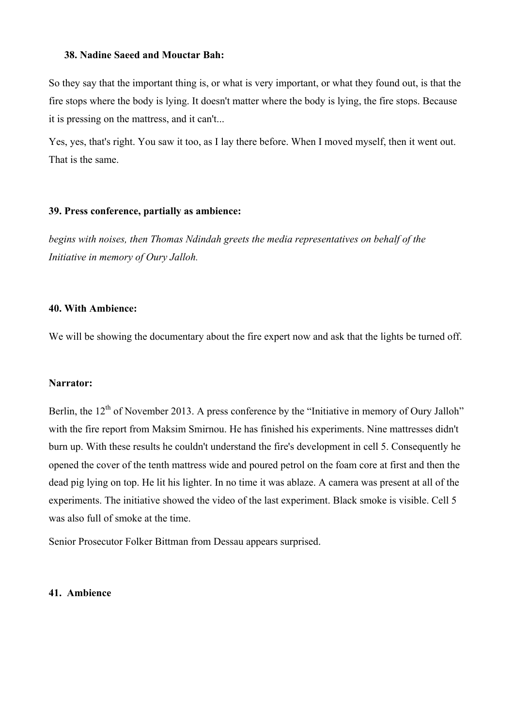### **38. Nadine Saeed and Mouctar Bah:**

So they say that the important thing is, or what is very important, or what they found out, is that the fire stops where the body is lying. It doesn't matter where the body is lying, the fire stops. Because it is pressing on the mattress, and it can't...

Yes, yes, that's right. You saw it too, as I lay there before. When I moved myself, then it went out. That is the same.

### **39. Press conference, partially as ambience:**

*begins with noises, then Thomas Ndindah greets the media representatives on behalf of the Initiative in memory of Oury Jalloh.* 

### **40. With Ambience:**

We will be showing the documentary about the fire expert now and ask that the lights be turned off.

#### **Narrator:**

Berlin, the  $12<sup>th</sup>$  of November 2013. A press conference by the "Initiative in memory of Oury Jalloh" with the fire report from Maksim Smirnou. He has finished his experiments. Nine mattresses didn't burn up. With these results he couldn't understand the fire's development in cell 5. Consequently he opened the cover of the tenth mattress wide and poured petrol on the foam core at first and then the dead pig lying on top. He lit his lighter. In no time it was ablaze. A camera was present at all of the experiments. The initiative showed the video of the last experiment. Black smoke is visible. Cell 5 was also full of smoke at the time.

Senior Prosecutor Folker Bittman from Dessau appears surprised.

#### **41. Ambience**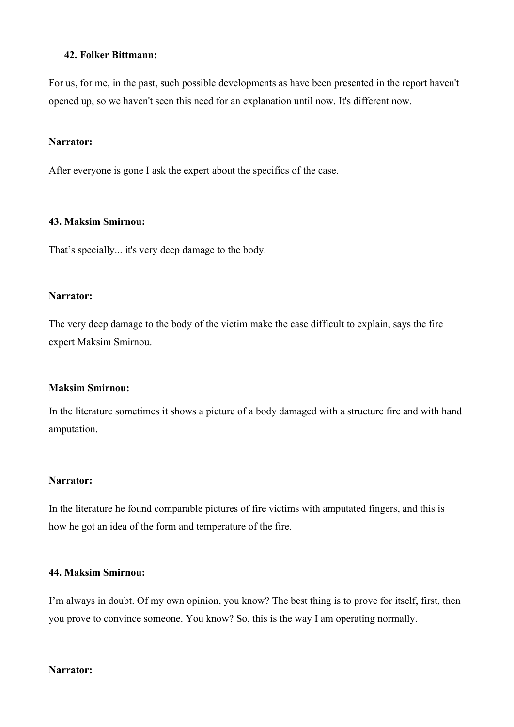### **42. Folker Bittmann:**

For us, for me, in the past, such possible developments as have been presented in the report haven't opened up, so we haven't seen this need for an explanation until now. It's different now.

#### **Narrator:**

After everyone is gone I ask the expert about the specifics of the case.

### **43. Maksim Smirnou:**

That's specially... it's very deep damage to the body.

#### **Narrator:**

The very deep damage to the body of the victim make the case difficult to explain, says the fire expert Maksim Smirnou.

#### **Maksim Smirnou:**

In the literature sometimes it shows a picture of a body damaged with a structure fire and with hand amputation.

### **Narrator:**

In the literature he found comparable pictures of fire victims with amputated fingers, and this is how he got an idea of the form and temperature of the fire.

### **44. Maksim Smirnou:**

I'm always in doubt. Of my own opinion, you know? The best thing is to prove for itself, first, then you prove to convince someone. You know? So, this is the way I am operating normally.

#### **Narrator:**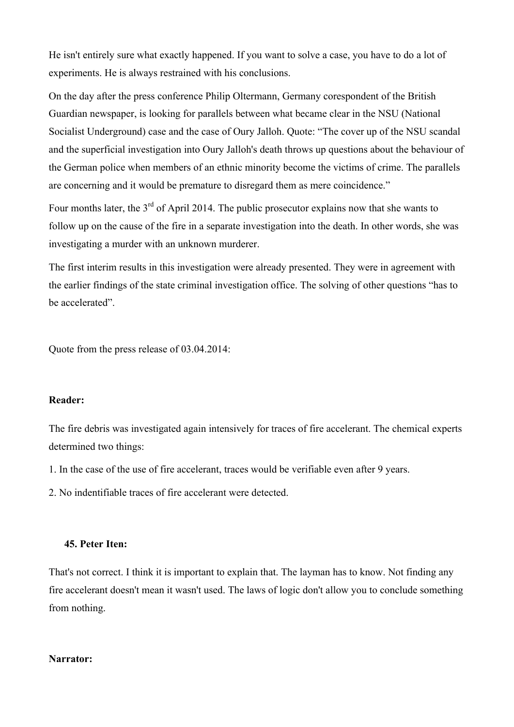He isn't entirely sure what exactly happened. If you want to solve a case, you have to do a lot of experiments. He is always restrained with his conclusions.

On the day after the press conference Philip Oltermann, Germany corespondent of the British Guardian newspaper, is looking for parallels between what became clear in the NSU (National Socialist Underground) case and the case of Oury Jalloh. Quote: "The cover up of the NSU scandal and the superficial investigation into Oury Jalloh's death throws up questions about the behaviour of the German police when members of an ethnic minority become the victims of crime. The parallels are concerning and it would be premature to disregard them as mere coincidence."

Four months later, the 3<sup>rd</sup> of April 2014. The public prosecutor explains now that she wants to follow up on the cause of the fire in a separate investigation into the death. In other words, she was investigating a murder with an unknown murderer.

The first interim results in this investigation were already presented. They were in agreement with the earlier findings of the state criminal investigation office. The solving of other questions "has to be accelerated".

Quote from the press release of 03.04.2014:

### **Reader:**

The fire debris was investigated again intensively for traces of fire accelerant. The chemical experts determined two things:

1. In the case of the use of fire accelerant, traces would be verifiable even after 9 years.

2. No indentifiable traces of fire accelerant were detected.

### **45. Peter Iten:**

That's not correct. I think it is important to explain that. The layman has to know. Not finding any fire accelerant doesn't mean it wasn't used. The laws of logic don't allow you to conclude something from nothing.

### **Narrator:**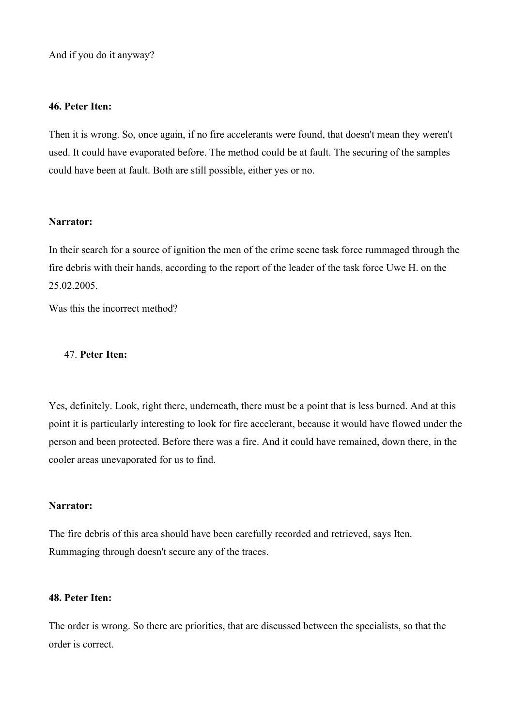And if you do it anyway?

#### **46. Peter Iten:**

Then it is wrong. So, once again, if no fire accelerants were found, that doesn't mean they weren't used. It could have evaporated before. The method could be at fault. The securing of the samples could have been at fault. Both are still possible, either yes or no.

### **Narrator:**

In their search for a source of ignition the men of the crime scene task force rummaged through the fire debris with their hands, according to the report of the leader of the task force Uwe H. on the 25.02.2005.

Was this the incorrect method?

### 47. **Peter Iten:**

Yes, definitely. Look, right there, underneath, there must be a point that is less burned. And at this point it is particularly interesting to look for fire accelerant, because it would have flowed under the person and been protected. Before there was a fire. And it could have remained, down there, in the cooler areas unevaporated for us to find.

### **Narrator:**

The fire debris of this area should have been carefully recorded and retrieved, says Iten. Rummaging through doesn't secure any of the traces.

### **48. Peter Iten:**

The order is wrong. So there are priorities, that are discussed between the specialists, so that the order is correct.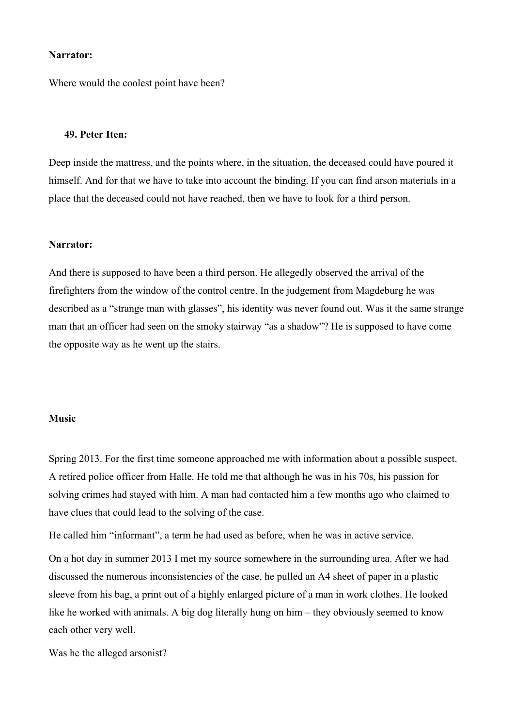#### **Narrator:**

Where would the coolest point have been?

#### **49. Peter Iten:**

Deep inside the mattress, and the points where, in the situation, the deceased could have poured it himself. And for that we have to take into account the binding. If you can find arson materials in a place that the deceased could not have reached, then we have to look for a third person.

#### **Narrator:**

And there is supposed to have been a third person. He allegedly observed the arrival of the firefighters from the window of the control centre. In the judgement from Magdeburg he was described as a "strange man with glasses", his identity was never found out. Was it the same strange man that an officer had seen on the smoky stairway "as a shadow"? He is supposed to have come the opposite way as he went up the stairs.

#### **Music**

Spring 2013. For the first time someone approached me with information about a possible suspect. A retired police officer from Halle. He told me that although he was in his 70s, his passion for solving crimes had stayed with him. A man had contacted him a few months ago who claimed to have clues that could lead to the solving of the case.

He called him "informant", a term he had used as before, when he was in active service.

On a hot day in summer 2013 I met my source somewhere in the surrounding area. After we had discussed the numerous inconsistencies of the case, he pulled an A4 sheet of paper in a plastic sleeve from his bag, a print out of a highly enlarged picture of a man in work clothes. He looked like he worked with animals. A big dog literally hung on him – they obviously seemed to know each other very well.

Was he the alleged arsonist?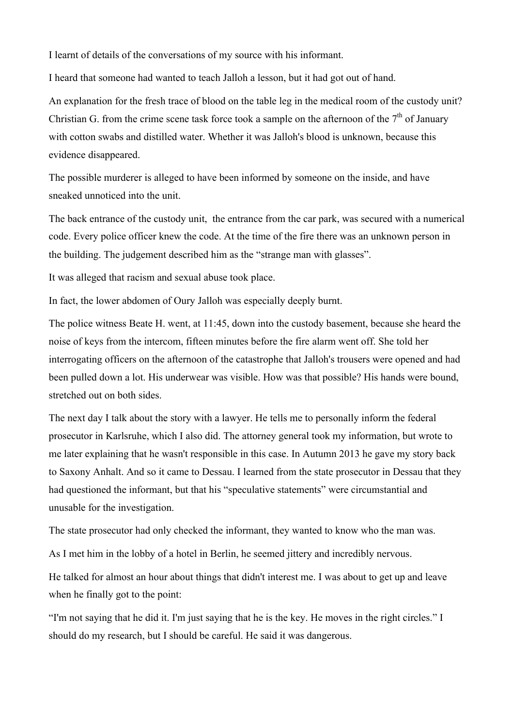I learnt of details of the conversations of my source with his informant.

I heard that someone had wanted to teach Jalloh a lesson, but it had got out of hand.

An explanation for the fresh trace of blood on the table leg in the medical room of the custody unit? Christian G. from the crime scene task force took a sample on the afternoon of the  $7<sup>th</sup>$  of January with cotton swabs and distilled water. Whether it was Jalloh's blood is unknown, because this evidence disappeared.

The possible murderer is alleged to have been informed by someone on the inside, and have sneaked unnoticed into the unit.

The back entrance of the custody unit, the entrance from the car park, was secured with a numerical code. Every police officer knew the code. At the time of the fire there was an unknown person in the building. The judgement described him as the "strange man with glasses".

It was alleged that racism and sexual abuse took place.

In fact, the lower abdomen of Oury Jalloh was especially deeply burnt.

The police witness Beate H. went, at 11:45, down into the custody basement, because she heard the noise of keys from the intercom, fifteen minutes before the fire alarm went off. She told her interrogating officers on the afternoon of the catastrophe that Jalloh's trousers were opened and had been pulled down a lot. His underwear was visible. How was that possible? His hands were bound, stretched out on both sides.

The next day I talk about the story with a lawyer. He tells me to personally inform the federal prosecutor in Karlsruhe, which I also did. The attorney general took my information, but wrote to me later explaining that he wasn't responsible in this case. In Autumn 2013 he gave my story back to Saxony Anhalt. And so it came to Dessau. I learned from the state prosecutor in Dessau that they had questioned the informant, but that his "speculative statements" were circumstantial and unusable for the investigation.

The state prosecutor had only checked the informant, they wanted to know who the man was.

As I met him in the lobby of a hotel in Berlin, he seemed jittery and incredibly nervous.

He talked for almost an hour about things that didn't interest me. I was about to get up and leave when he finally got to the point:

"I'm not saying that he did it. I'm just saying that he is the key. He moves in the right circles." I should do my research, but I should be careful. He said it was dangerous.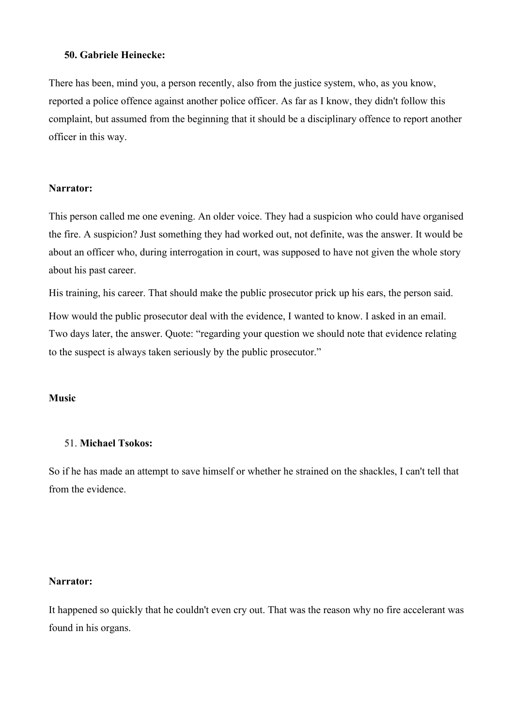### **50. Gabriele Heinecke:**

There has been, mind you, a person recently, also from the justice system, who, as you know, reported a police offence against another police officer. As far as I know, they didn't follow this complaint, but assumed from the beginning that it should be a disciplinary offence to report another officer in this way.

### **Narrator:**

This person called me one evening. An older voice. They had a suspicion who could have organised the fire. A suspicion? Just something they had worked out, not definite, was the answer. It would be about an officer who, during interrogation in court, was supposed to have not given the whole story about his past career.

His training, his career. That should make the public prosecutor prick up his ears, the person said.

How would the public prosecutor deal with the evidence, I wanted to know. I asked in an email. Two days later, the answer. Quote: "regarding your question we should note that evidence relating to the suspect is always taken seriously by the public prosecutor."

#### **Music**

#### 51. **Michael Tsokos:**

So if he has made an attempt to save himself or whether he strained on the shackles, I can't tell that from the evidence.

#### **Narrator:**

It happened so quickly that he couldn't even cry out. That was the reason why no fire accelerant was found in his organs.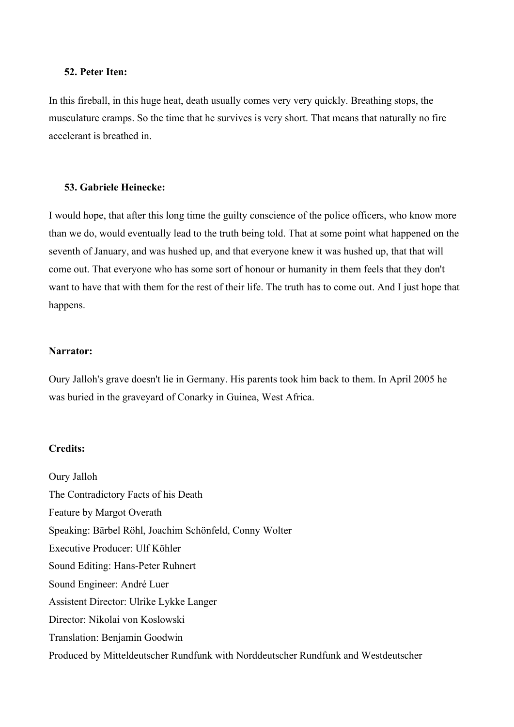### **52. Peter Iten:**

In this fireball, in this huge heat, death usually comes very very quickly. Breathing stops, the musculature cramps. So the time that he survives is very short. That means that naturally no fire accelerant is breathed in.

### **53. Gabriele Heinecke:**

I would hope, that after this long time the guilty conscience of the police officers, who know more than we do, would eventually lead to the truth being told. That at some point what happened on the seventh of January, and was hushed up, and that everyone knew it was hushed up, that that will come out. That everyone who has some sort of honour or humanity in them feels that they don't want to have that with them for the rest of their life. The truth has to come out. And I just hope that happens.

### **Narrator:**

Oury Jalloh's grave doesn't lie in Germany. His parents took him back to them. In April 2005 he was buried in the graveyard of Conarky in Guinea, West Africa.

### **Credits:**

Oury Jalloh The Contradictory Facts of his Death Feature by Margot Overath Speaking: Bärbel Röhl, Joachim Schönfeld, Conny Wolter Executive Producer: Ulf Köhler Sound Editing: Hans-Peter Ruhnert Sound Engineer: André Luer Assistent Director: Ulrike Lykke Langer Director: Nikolai von Koslowski Translation: Benjamin Goodwin Produced by Mitteldeutscher Rundfunk with Norddeutscher Rundfunk and Westdeutscher